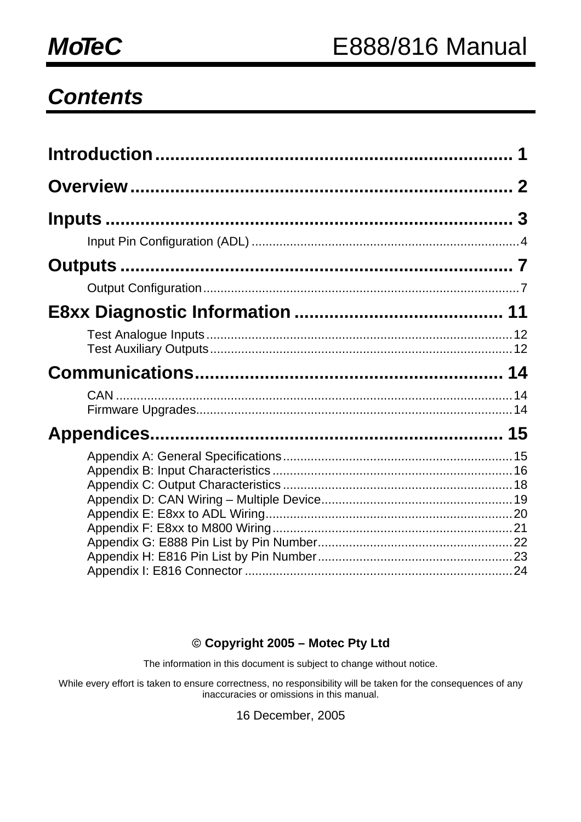## *Contents*

#### © **Copyright 2005 – Motec Pty Ltd**

The information in this document is subject to change without notice.

While every effort is taken to ensure correctness, no responsibility will be taken for the consequences of any inaccuracies or omissions in this manual.

16 December, 2005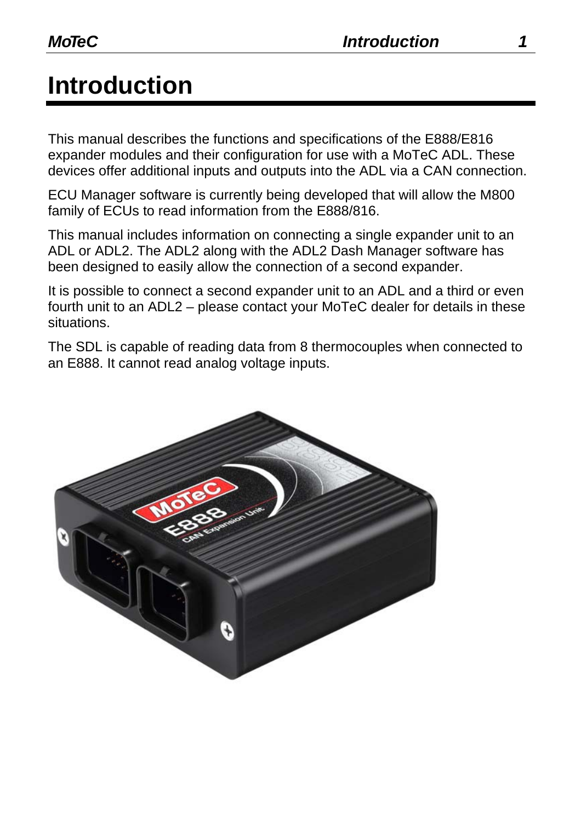# **Introduction**

This manual describes the functions and specifications of the E888/E816 expander modules and their configuration for use with a MoTeC ADL. These devices offer additional inputs and outputs into the ADL via a CAN connection.

ECU Manager software is currently being developed that will allow the M800 family of ECUs to read information from the E888/816.

This manual includes information on connecting a single expander unit to an ADL or ADL2. The ADL2 along with the ADL2 Dash Manager software has been designed to easily allow the connection of a second expander.

It is possible to connect a second expander unit to an ADL and a third or even fourth unit to an ADL2 – please contact your MoTeC dealer for details in these situations.

The SDL is capable of reading data from 8 thermocouples when connected to an E888. It cannot read analog voltage inputs.

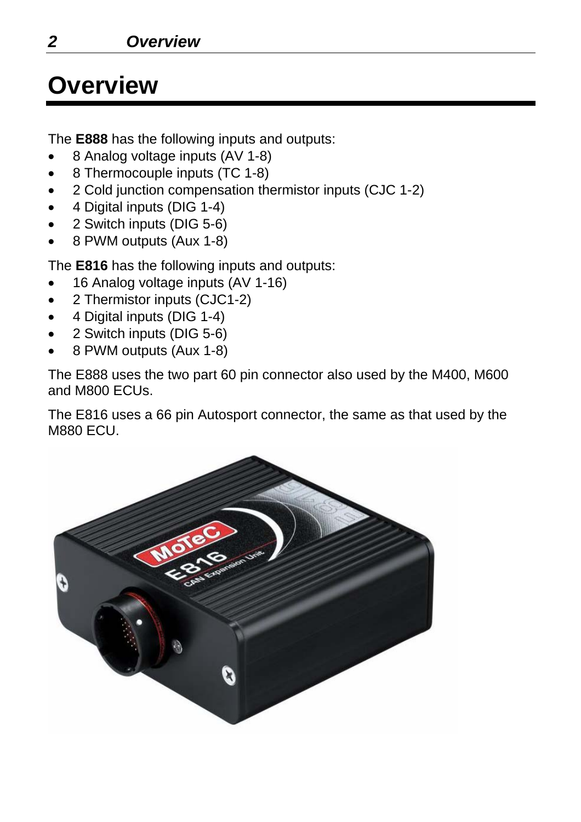## **Overview**

The **E888** has the following inputs and outputs:

- 8 Analog voltage inputs (AV 1-8)
- 8 Thermocouple inputs (TC 1-8)
- 2 Cold junction compensation thermistor inputs (CJC 1-2)
- 4 Digital inputs (DIG 1-4)
- 2 Switch inputs (DIG 5-6)
- 8 PWM outputs (Aux 1-8)

The **E816** has the following inputs and outputs:

- 16 Analog voltage inputs (AV 1-16)
- 2 Thermistor inputs (CJC1-2)
- 4 Digital inputs (DIG 1-4)
- 2 Switch inputs (DIG 5-6)
- 8 PWM outputs (Aux 1-8)

The E888 uses the two part 60 pin connector also used by the M400, M600 and M800 ECUs.

The E816 uses a 66 pin Autosport connector, the same as that used by the M880 ECU.

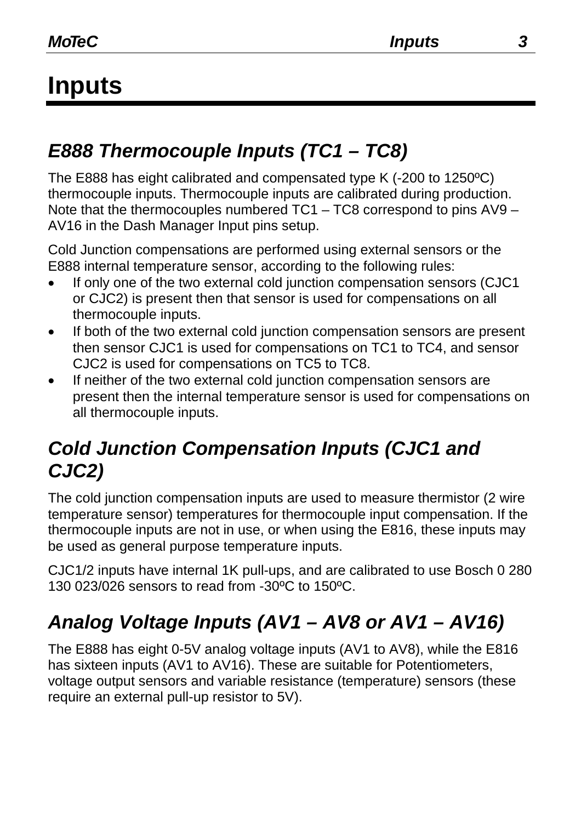# **Inputs**

## *E888 Thermocouple Inputs (TC1 – TC8)*

The E888 has eight calibrated and compensated type K (-200 to 1250ºC) thermocouple inputs. Thermocouple inputs are calibrated during production. Note that the thermocouples numbered TC1 – TC8 correspond to pins AV9 – AV16 in the Dash Manager Input pins setup.

Cold Junction compensations are performed using external sensors or the E888 internal temperature sensor, according to the following rules:

- If only one of the two external cold junction compensation sensors (CJC1) or CJC2) is present then that sensor is used for compensations on all thermocouple inputs.
- If both of the two external cold junction compensation sensors are present then sensor CJC1 is used for compensations on TC1 to TC4, and sensor CJC2 is used for compensations on TC5 to TC8.
- If neither of the two external cold junction compensation sensors are present then the internal temperature sensor is used for compensations on all thermocouple inputs.

#### *Cold Junction Compensation Inputs (CJC1 and CJC2)*

The cold junction compensation inputs are used to measure thermistor (2 wire temperature sensor) temperatures for thermocouple input compensation. If the thermocouple inputs are not in use, or when using the E816, these inputs may be used as general purpose temperature inputs.

CJC1/2 inputs have internal 1K pull-ups, and are calibrated to use Bosch 0 280 130 023/026 sensors to read from -30ºC to 150ºC.

## *Analog Voltage Inputs (AV1 – AV8 or AV1 – AV16)*

The E888 has eight 0-5V analog voltage inputs (AV1 to AV8), while the E816 has sixteen inputs (AV1 to AV16). These are suitable for Potentiometers, voltage output sensors and variable resistance (temperature) sensors (these require an external pull-up resistor to 5V).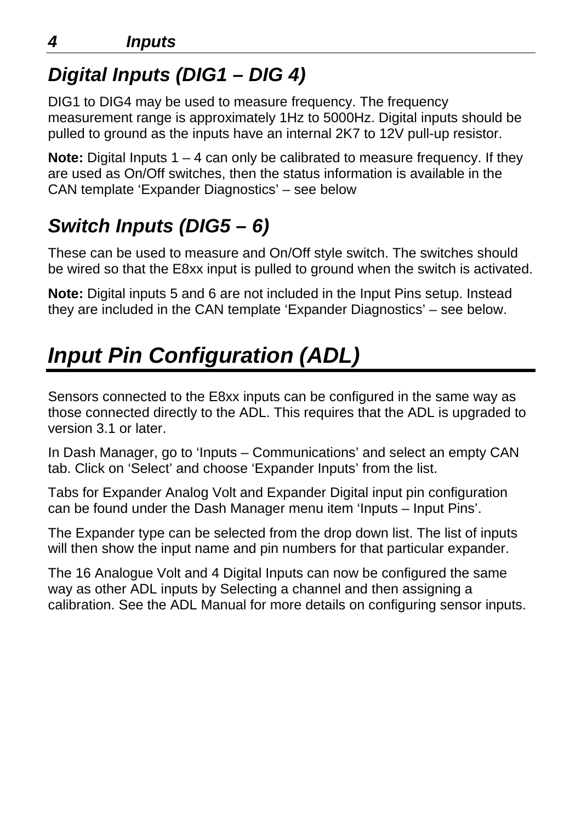## *Digital Inputs (DIG1 – DIG 4)*

DIG1 to DIG4 may be used to measure frequency. The frequency measurement range is approximately 1Hz to 5000Hz. Digital inputs should be pulled to ground as the inputs have an internal 2K7 to 12V pull-up resistor.

**Note:** Digital Inputs 1 – 4 can only be calibrated to measure frequency. If they are used as On/Off switches, then the status information is available in the CAN template 'Expander Diagnostics' – see below

## *Switch Inputs (DIG5 – 6)*

These can be used to measure and On/Off style switch. The switches should be wired so that the E8xx input is pulled to ground when the switch is activated.

**Note:** Digital inputs 5 and 6 are not included in the Input Pins setup. Instead they are included in the CAN template 'Expander Diagnostics' – see below.

# *Input Pin Configuration (ADL)*

Sensors connected to the E8xx inputs can be configured in the same way as those connected directly to the ADL. This requires that the ADL is upgraded to version 3.1 or later.

In Dash Manager, go to 'Inputs – Communications' and select an empty CAN tab. Click on 'Select' and choose 'Expander Inputs' from the list.

Tabs for Expander Analog Volt and Expander Digital input pin configuration can be found under the Dash Manager menu item 'Inputs – Input Pins'.

The Expander type can be selected from the drop down list. The list of inputs will then show the input name and pin numbers for that particular expander.

The 16 Analogue Volt and 4 Digital Inputs can now be configured the same way as other ADL inputs by Selecting a channel and then assigning a calibration. See the ADL Manual for more details on configuring sensor inputs.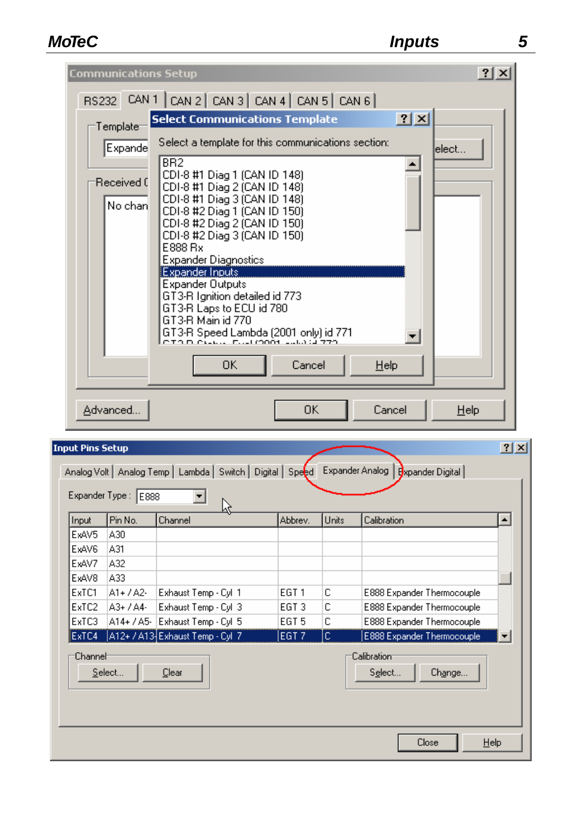| Template <sup>-</sup>                   | ? X <br><b>Select Communications Template</b>                                                                                                                                                                                                                                                                                                                                                                                                                                                                                                                                |
|-----------------------------------------|------------------------------------------------------------------------------------------------------------------------------------------------------------------------------------------------------------------------------------------------------------------------------------------------------------------------------------------------------------------------------------------------------------------------------------------------------------------------------------------------------------------------------------------------------------------------------|
| <b>Expande</b><br>Received (<br>No chan | Select a template for this communications section:<br>elect<br>B <sub>R2</sub><br>CDI-8 #1 Diag 1 (CAN ID 148)<br>CDI-8 #1 Diag 2 (CAN ID 148)<br>CDI-8 #1 Diag 3 (CAN ID 148)<br>CDI-8 #2 Diag 1 (CAN ID 150)<br>CDI-8 #2 Diag 2 (CAN ID 150)<br>CDI-8 #2 Diag 3 (CAN ID 150)<br>E888 Rx<br><b>Expander Diagnostics</b><br><b>Expander Inputs</b><br><b>Expander Outputs</b><br>GT3-R Ignition detailed id 773<br>GT3-R Laps to ECU id 780<br>GT3-R Main id 770<br>GT3-R Speed Lambda (2001 only) id 771<br>CITA DI CILLUI ELLEMANA LULLA SI 770<br>Cancel<br>0K<br>$He$ lp |
| Advanced                                | 0K<br>Cancel<br>$He$ lp                                                                                                                                                                                                                                                                                                                                                                                                                                                                                                                                                      |

| ExAV5<br>A30<br>ExAV6<br>A31<br>ExAV7<br>A32<br>ExAV8<br>A33.<br>ExTC1<br>с<br>A1+ / A2-<br>Exhaust Temp - Cyl 1<br>EGT 1<br>E888 Expander Thermocouple<br>ExTC2<br>С<br>A3+ / A4-<br>Exhaust Temp - Cyl 3<br>EGT 3<br>E888 Expander Thermocouple<br>A14+ / A5- Exhaust Temp - Cyl 5<br>с<br>ExTC3<br>EGT 5<br>E888 Expander Thermocouple<br>A12+ / A13 Exhaust Temp - Cyl 7<br>ExTC4<br>E888 Expander Thermocouple<br>EGT <sub>7</sub><br>lc.<br>Channel<br>Calibration | Input | Pin No. | Channel | Abbrev. | Units | Calibration | $\blacktriangle$ |
|--------------------------------------------------------------------------------------------------------------------------------------------------------------------------------------------------------------------------------------------------------------------------------------------------------------------------------------------------------------------------------------------------------------------------------------------------------------------------|-------|---------|---------|---------|-------|-------------|------------------|
|                                                                                                                                                                                                                                                                                                                                                                                                                                                                          |       |         |         |         |       |             |                  |
|                                                                                                                                                                                                                                                                                                                                                                                                                                                                          |       |         |         |         |       |             |                  |
|                                                                                                                                                                                                                                                                                                                                                                                                                                                                          |       |         |         |         |       |             |                  |
|                                                                                                                                                                                                                                                                                                                                                                                                                                                                          |       |         |         |         |       |             |                  |
|                                                                                                                                                                                                                                                                                                                                                                                                                                                                          |       |         |         |         |       |             |                  |
|                                                                                                                                                                                                                                                                                                                                                                                                                                                                          |       |         |         |         |       |             |                  |
|                                                                                                                                                                                                                                                                                                                                                                                                                                                                          |       |         |         |         |       |             |                  |
|                                                                                                                                                                                                                                                                                                                                                                                                                                                                          |       |         |         |         |       |             |                  |
|                                                                                                                                                                                                                                                                                                                                                                                                                                                                          |       |         |         |         |       |             |                  |
|                                                                                                                                                                                                                                                                                                                                                                                                                                                                          |       |         |         |         |       |             |                  |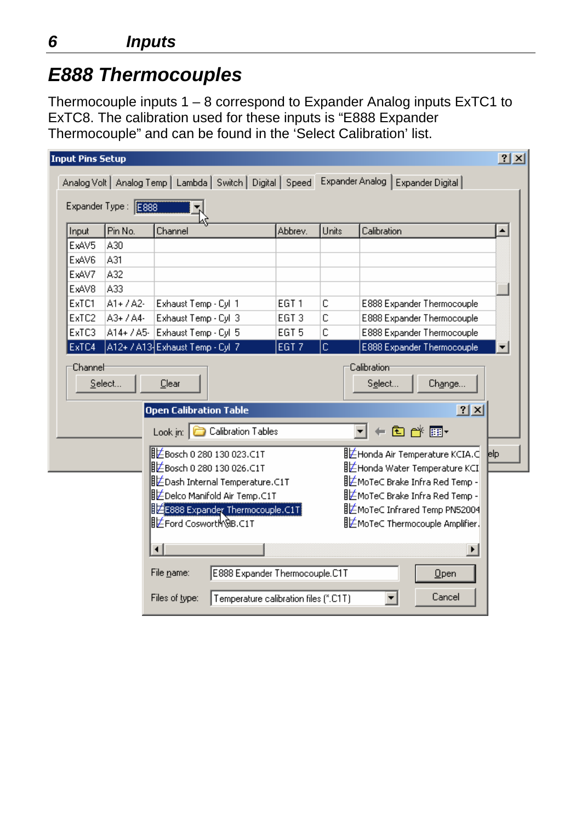#### *E888 Thermocouples*

Thermocouple inputs 1 – 8 correspond to Expander Analog inputs ExTC1 to ExTC8. The calibration used for these inputs is "E888 Expander Thermocouple" and can be found in the 'Select Calibration' list.

| <b>Input Pins Setup</b>                                                     |                      |                                                               |                                |       |                                         | 2x               |
|-----------------------------------------------------------------------------|----------------------|---------------------------------------------------------------|--------------------------------|-------|-----------------------------------------|------------------|
|                                                                             |                      | Analog Volt   Analog Temp   Lambda   Switch   Digital   Speed |                                |       | Expander Analog  <br>Expander Digital   |                  |
|                                                                             | Expander Type : E888 |                                                               |                                |       |                                         |                  |
| Input                                                                       | Pin No.              | Channel                                                       | Abbrev.                        | Units | Calibration                             | $\blacktriangle$ |
| ExAV5                                                                       | A30                  |                                                               |                                |       |                                         |                  |
| ExAV6                                                                       | A31                  |                                                               |                                |       |                                         |                  |
| ExAV7                                                                       | A32                  |                                                               |                                |       |                                         |                  |
| ExAV8                                                                       | A33                  |                                                               |                                |       |                                         |                  |
| ExTC1                                                                       | $A1 + / A2$          | Exhaust Temp - Cyl 1                                          | EGT <sub>1</sub>               | C     | E888 Expander Thermocouple              |                  |
| ExTC2                                                                       | A3+ / A4-            | Exhaust Temp - Cyl 3                                          | EGT <sub>3</sub>               | C     | E888 Expander Thermocouple              |                  |
| ExTC3                                                                       | $A14 + / A5$         | Exhaust Temp - Cyl 5                                          | EGT <sub>5</sub>               | C     | E888 Expander Thermocouple              |                  |
| ExTC4                                                                       |                      | A12+ / A13 Exhaust Temp - Cyl 7                               | EGT <sub>7</sub>               | c     | E888 Expander Thermocouple              |                  |
|                                                                             |                      | <b>Open Calibration Table</b>                                 |                                |       | ? X                                     |                  |
|                                                                             |                      | Look in: Calibration Tables                                   |                                |       | ←面び囲・                                   |                  |
|                                                                             |                      | <b>非≤Bosch 0 280 130 023.C1T</b>                              |                                |       | ‼ Honda Air Temperature KCIA.d          | elp              |
| ⅢŹBosch 0 280 130 026.C1T<br><u>   ビ</u> Honda Water Temperature KCI        |                      |                                                               |                                |       |                                         |                  |
| 旧芒Dash Internal Temperature.C1T<br>LE MoTeC Brake Infra Red Temp -          |                      |                                                               |                                |       |                                         |                  |
| 旧芒Delco Manifold Air Temp.C1T<br>LEMoTeC Brake Infra Red Temp -             |                      |                                                               |                                |       |                                         |                  |
| <b>ile</b> E888 Expander Thermocouple.C1T<br>LE MoTeC Infrared Temp PN52004 |                      |                                                               |                                |       |                                         |                  |
|                                                                             |                      |                                                               |                                |       |                                         |                  |
|                                                                             |                      | <b>旧芒Ford CoswortMઊB.C1T</b>                                  |                                |       | <u>IL</u> MoTe⊂ Thermocouple Amplifier. |                  |
|                                                                             |                      |                                                               |                                |       | ▶                                       |                  |
|                                                                             |                      | File name:                                                    | E888 Expander Thermocouple.C1T |       | Qpen                                    |                  |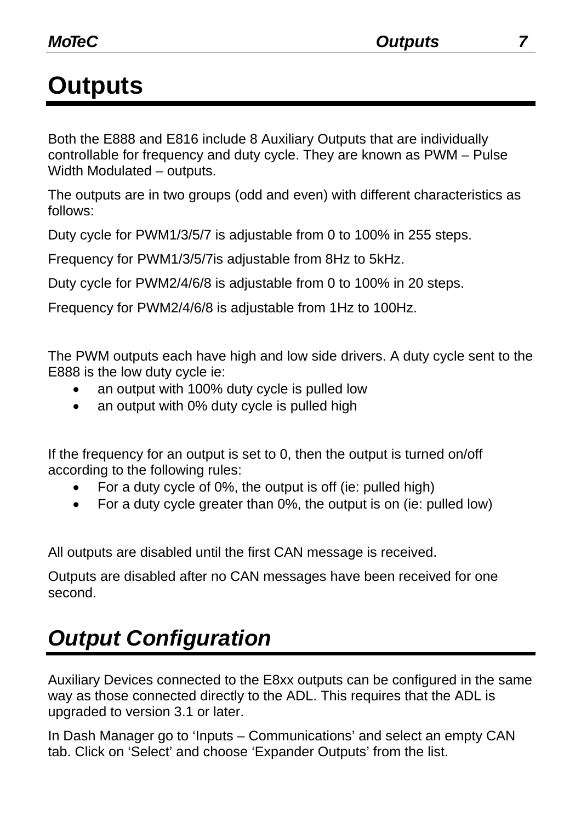## **Outputs**

Both the E888 and E816 include 8 Auxiliary Outputs that are individually controllable for frequency and duty cycle. They are known as PWM – Pulse Width Modulated – outputs.

The outputs are in two groups (odd and even) with different characteristics as follows:

Duty cycle for PWM1/3/5/7 is adjustable from 0 to 100% in 255 steps.

Frequency for PWM1/3/5/7is adjustable from 8Hz to 5kHz.

Duty cycle for PWM2/4/6/8 is adjustable from 0 to 100% in 20 steps.

Frequency for PWM2/4/6/8 is adjustable from 1Hz to 100Hz.

The PWM outputs each have high and low side drivers. A duty cycle sent to the E888 is the low duty cycle ie:

- an output with 100% duty cycle is pulled low
- an output with 0% duty cycle is pulled high

If the frequency for an output is set to 0, then the output is turned on/off according to the following rules:

- For a duty cycle of 0%, the output is off (ie: pulled high)
- For a duty cycle greater than 0%, the output is on (ie: pulled low)

All outputs are disabled until the first CAN message is received.

Outputs are disabled after no CAN messages have been received for one second.

## *Output Configuration*

Auxiliary Devices connected to the E8xx outputs can be configured in the same way as those connected directly to the ADL. This requires that the ADL is upgraded to version 3.1 or later.

In Dash Manager go to 'Inputs – Communications' and select an empty CAN tab. Click on 'Select' and choose 'Expander Outputs' from the list.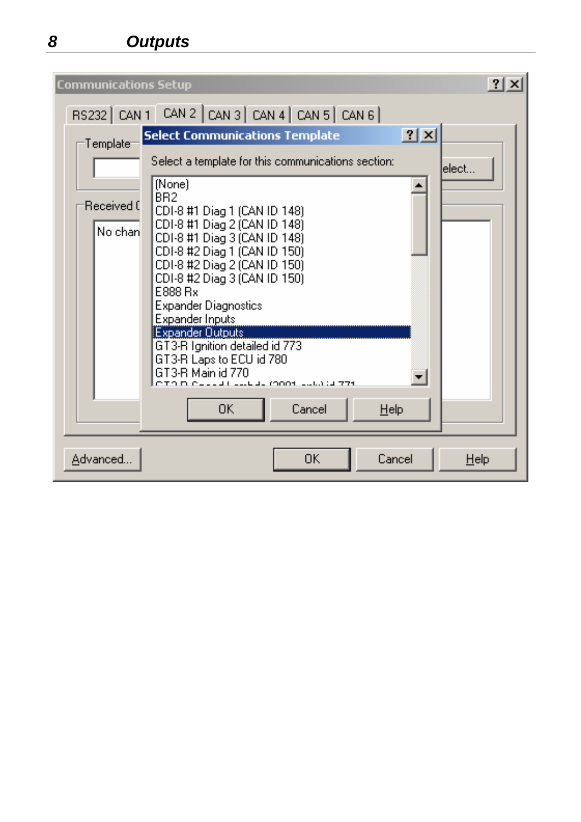*8 Outputs* 

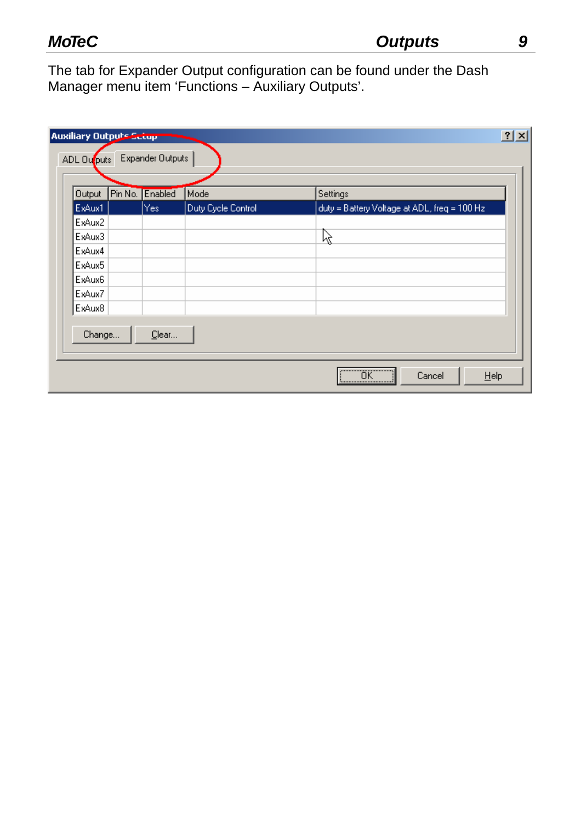The tab for Expander Output configuration can be found under the Dash Manager menu item 'Functions – Auxiliary Outputs'.

| <b>Output</b> | Pin No. Enabled | Mode               | Settings                                     |
|---------------|-----------------|--------------------|----------------------------------------------|
| ExAux1        | Yes:            | Duty Cycle Control | duty = Battery Voltage at ADL, freq = 100 Hz |
| ExAux2        |                 |                    |                                              |
| ExAux3        |                 |                    | 陉                                            |
| ExAux4        |                 |                    |                                              |
| ExAux5        |                 |                    |                                              |
| ExAux6        |                 |                    |                                              |
| ExAux7        |                 |                    |                                              |
| ExAux8        |                 |                    |                                              |
|               |                 |                    |                                              |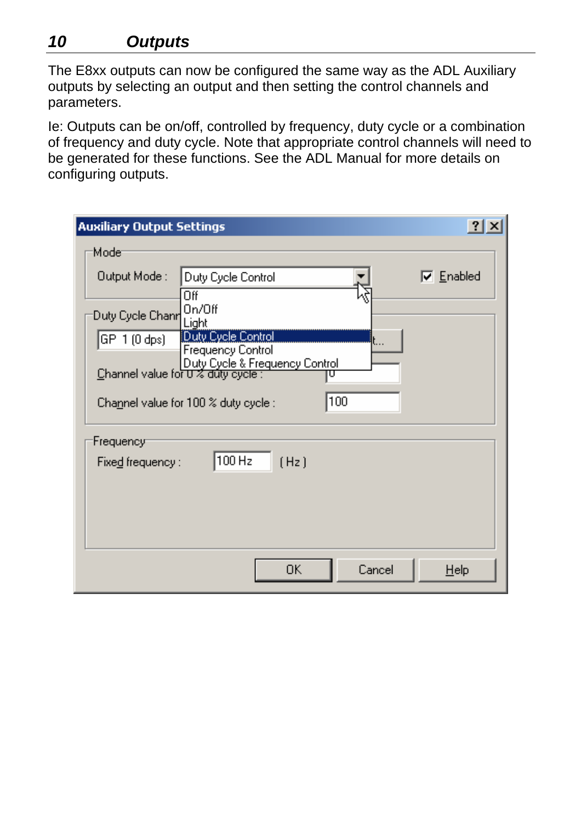#### *10 Outputs*

The E8xx outputs can now be configured the same way as the ADL Auxiliary outputs by selecting an output and then setting the control channels and parameters.

Ie: Outputs can be on/off, controlled by frequency, duty cycle or a combination of frequency and duty cycle. Note that appropriate control channels will need to be generated for these functions. See the ADL Manual for more details on configuring outputs.

| <b>Auxiliary Output Settings</b>     |                                                                                                  |        | $\left  \cdot \right $<br>$\mathbf{K}$ |
|--------------------------------------|--------------------------------------------------------------------------------------------------|--------|----------------------------------------|
| Modet                                |                                                                                                  |        |                                        |
| Output Mode:                         | Duty Cycle Control                                                                               |        | $\nabla$ Enabled                       |
|                                      | Off                                                                                              |        |                                        |
| Duty Cycle Chanri                    | On/Off<br>Light                                                                                  |        |                                        |
| $ \mathsf{GP} 1\,(0\,\mathsf{dps}) $ | Duty Cycle Control                                                                               |        |                                        |
|                                      | <b>Frequency Control</b><br>Duty Cycle & Frequency Control<br>Channel value for U % duty cycle : |        |                                        |
|                                      | 100<br>Channel value for $100\%$ duty cycle :                                                    |        |                                        |
| Frequency                            |                                                                                                  |        |                                        |
| Fixed frequency $\colon$             | 100 Hz<br>(Hz)                                                                                   |        |                                        |
|                                      |                                                                                                  |        |                                        |
|                                      |                                                                                                  |        |                                        |
|                                      |                                                                                                  |        |                                        |
|                                      | 0K.                                                                                              | Cancel | $He$ lp                                |
|                                      |                                                                                                  |        |                                        |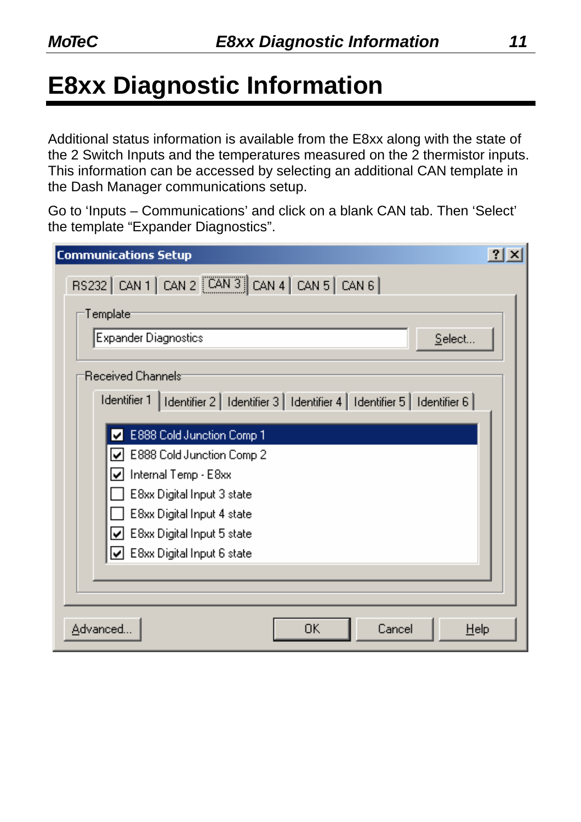# **E8xx Diagnostic Information**

Additional status information is available from the E8xx along with the state of the 2 Switch Inputs and the temperatures measured on the 2 thermistor inputs. This information can be accessed by selecting an additional CAN template in the Dash Manager communications setup.

Go to 'Inputs – Communications' and click on a blank CAN tab. Then 'Select' the template "Expander Diagnostics".

| <b>Communications Setup</b>                                                                                                                                                                                                                                                    | ?1<br>$\propto$ |
|--------------------------------------------------------------------------------------------------------------------------------------------------------------------------------------------------------------------------------------------------------------------------------|-----------------|
| RS232   CAN 1   CAN 2 $\sqrt{$ CAN 3   CAN 4   CAN 5   CAN 6                                                                                                                                                                                                                   |                 |
| $\mathsf{Template}$                                                                                                                                                                                                                                                            |                 |
| Expander Diagnostics<br>Select                                                                                                                                                                                                                                                 |                 |
| :Received Channels:<br>Identifier 1   Identifier 2   Identifier 3   Identifier 4   Identifier 5   Identifier 6                                                                                                                                                                 |                 |
| E888 Cold Junction Comp 1<br>$\boxed{\checkmark}$ E888 Cold Junction Comp 2<br>$\boxed{\vee}$ Internal Temp - E8xx<br>E8xx Digital Input 3 state<br>E8xx Digital Input 4 state<br>$\boxed{\vee}$ E8xx Digital Input 5 state<br>$\boxed{\checkmark}$ E8xx Digital Input 6 state |                 |
|                                                                                                                                                                                                                                                                                |                 |
| Advanced<br>$\cap K$<br>Cancel<br>Help                                                                                                                                                                                                                                         |                 |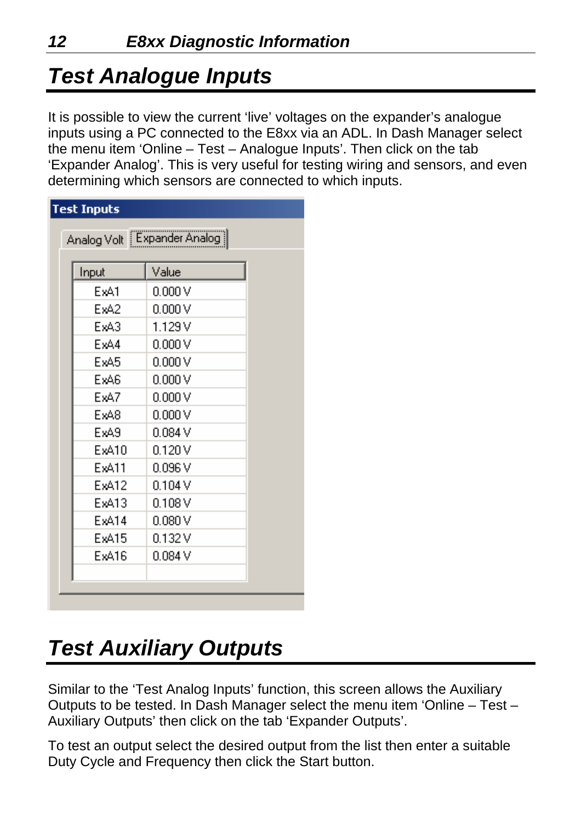## *Test Analogue Inputs*

It is possible to view the current 'live' voltages on the expander's analogue inputs using a PC connected to the E8xx via an ADL. In Dash Manager select the menu item 'Online – Test – Analogue Inputs'. Then click on the tab 'Expander Analog'. This is very useful for testing wiring and sensors, and even determining which sensors are connected to which inputs.

| <b>Test Inputs</b> | Analog Volt   Expander Analog |  |
|--------------------|-------------------------------|--|
| Input              | Value                         |  |
| ExA1               | 0.000V                        |  |
| ExA2               | 0.000V                        |  |
| ExA3               | 1.129V                        |  |
| ExA4               | 0.000V                        |  |
| ExA5               | 0.000V                        |  |
| ExA6               | 0.000V                        |  |
| ExA7               | 0.000V                        |  |
| ExA8               | 0.000V                        |  |
| ExA9               | 0.084V                        |  |
| ExA10              | 0.120V                        |  |
| ExA11              | 0.096V                        |  |
| ExA12              | 0.104V                        |  |
| ExA13              | 0.108V                        |  |
| ExA14              | 0.080V                        |  |
| ExA15              | 0.132V                        |  |
| ExA16              | 0.084V                        |  |
|                    |                               |  |
|                    |                               |  |

## *Test Auxiliary Outputs*

Similar to the 'Test Analog Inputs' function, this screen allows the Auxiliary Outputs to be tested. In Dash Manager select the menu item 'Online – Test – Auxiliary Outputs' then click on the tab 'Expander Outputs'.

To test an output select the desired output from the list then enter a suitable Duty Cycle and Frequency then click the Start button.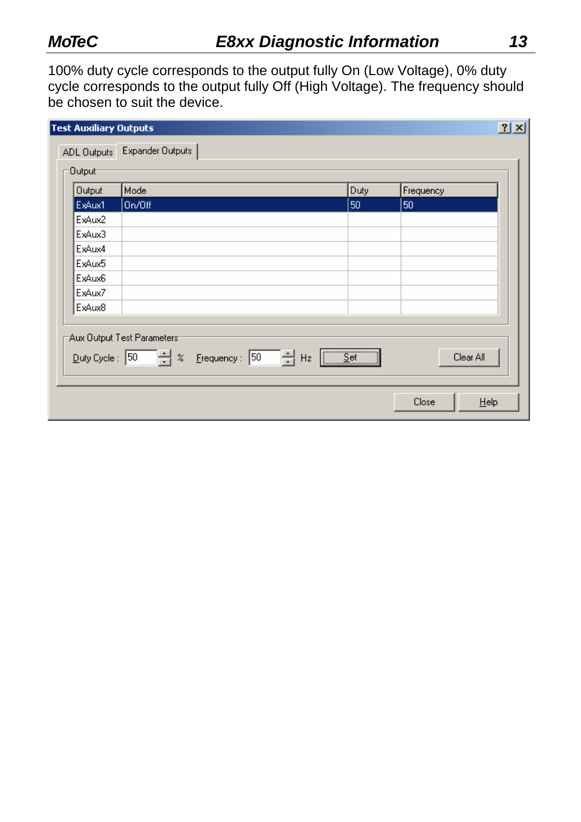100% duty cycle corresponds to the output fully On (Low Voltage), 0% duty cycle corresponds to the output fully Off (High Voltage). The frequency should be chosen to suit the device.

| <b>Test Auxiliary Outputs</b> |                                                                                  |                                 |               | 2 X |
|-------------------------------|----------------------------------------------------------------------------------|---------------------------------|---------------|-----|
| ADL Outputs                   | Expander Outputs                                                                 |                                 |               |     |
| :0utput <del>-</del>          |                                                                                  |                                 |               |     |
| <b>Output</b>                 | Mode                                                                             | Duty                            | Frequency     |     |
| ExAux1                        | On/Off                                                                           | 50                              | 50            |     |
| ExAux2                        |                                                                                  |                                 |               |     |
| ExAux3                        |                                                                                  |                                 |               |     |
| ExAux4                        |                                                                                  |                                 |               |     |
| ExAux5                        |                                                                                  |                                 |               |     |
| ExAux6                        |                                                                                  |                                 |               |     |
| ExAux7                        |                                                                                  |                                 |               |     |
| ExAux8                        |                                                                                  |                                 |               |     |
|                               | Aux Output Test Parameters <sup>.</sup><br>Duty Cycle: 50 = % Erequency: 50 = Hz | $\sqrt{\underline{\text{Set}}}$ | Clear All     |     |
|                               |                                                                                  |                                 | Close<br>Help |     |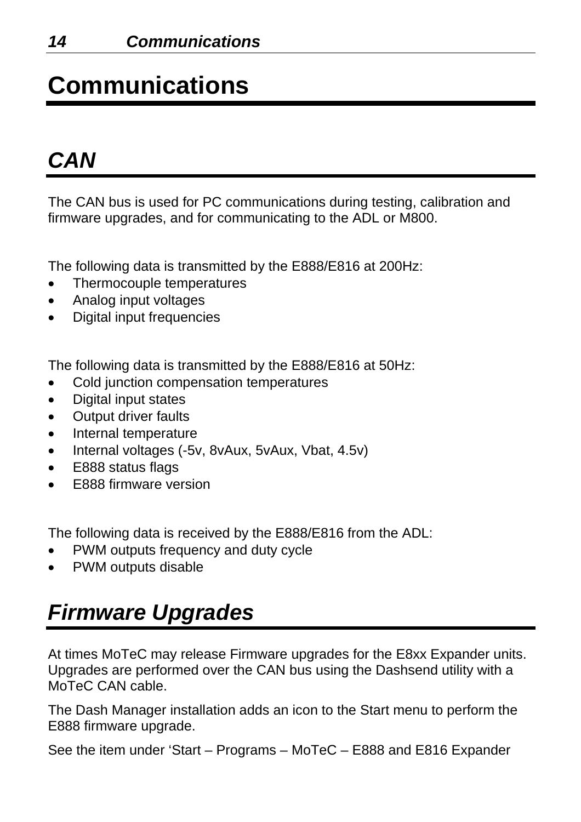# **Communications**

## *CAN*

The CAN bus is used for PC communications during testing, calibration and firmware upgrades, and for communicating to the ADL or M800.

The following data is transmitted by the E888/E816 at 200Hz:

- Thermocouple temperatures
- Analog input voltages
- Digital input frequencies

The following data is transmitted by the E888/E816 at 50Hz:

- Cold junction compensation temperatures
- Digital input states
- **Output driver faults**
- Internal temperature
- Internal voltages (-5v, 8vAux, 5vAux, Vbat, 4.5v)
- E888 status flags
- E888 firmware version

The following data is received by the E888/E816 from the ADL:

- PWM outputs frequency and duty cycle
- PWM outputs disable

## *Firmware Upgrades*

At times MoTeC may release Firmware upgrades for the E8xx Expander units. Upgrades are performed over the CAN bus using the Dashsend utility with a MoTeC CAN cable.

The Dash Manager installation adds an icon to the Start menu to perform the E888 firmware upgrade.

See the item under 'Start – Programs – MoTeC – E888 and E816 Expander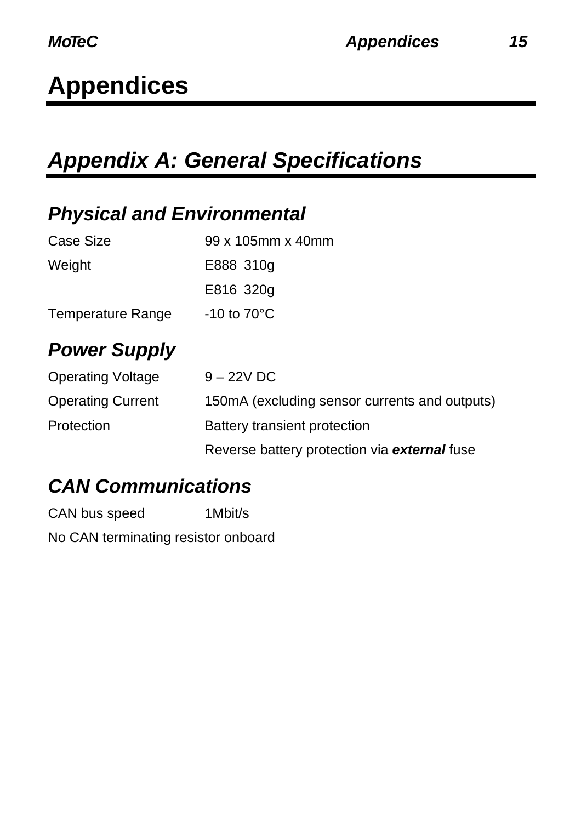## *Appendix A: General Specifications*

#### *Physical and Environmental*

| Case Size                | 99 x 105mm x 40mm       |
|--------------------------|-------------------------|
| Weight                   | E888 310g               |
|                          | E816 320g               |
| <b>Temperature Range</b> | $-10$ to $70^{\circ}$ C |

## *Power Supply*

| <b>Operating Voltage</b> | $9 - 22V$ DC                                   |
|--------------------------|------------------------------------------------|
| <b>Operating Current</b> | 150 mA (excluding sensor currents and outputs) |
| Protection               | <b>Battery transient protection</b>            |
|                          | Reverse battery protection via external fuse   |

#### *CAN Communications*

CAN bus speed 1Mbit/s

No CAN terminating resistor onboard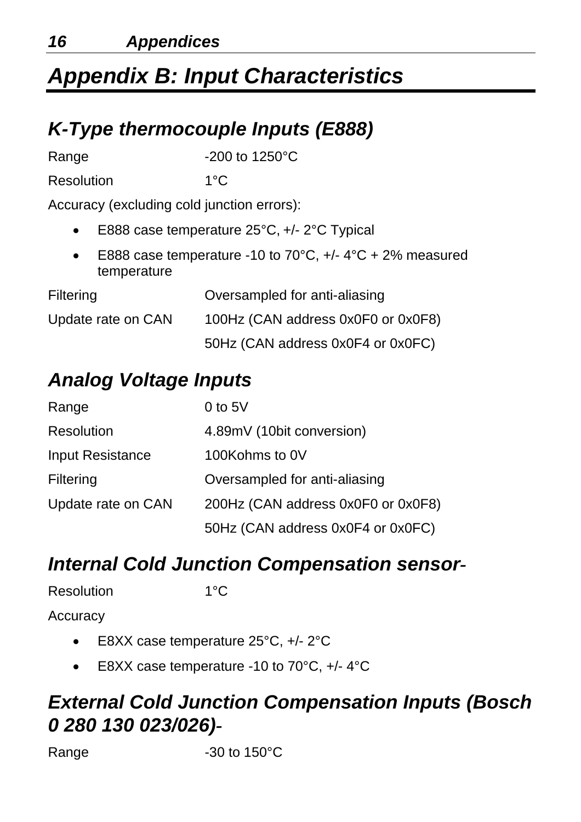## *Appendix B: Input Characteristics*

#### *K-Type thermocouple Inputs (E888)*

Range -200 to 1250°C

Resolution 1°C

Accuracy (excluding cold junction errors):

- E888 case temperature 25°C, +/- 2°C Typical
- E888 case temperature -10 to 70 $^{\circ}$ C, +/- 4 $^{\circ}$ C + 2% measured temperature

| Filtering          | Oversampled for anti-aliasing      |
|--------------------|------------------------------------|
| Update rate on CAN | 100Hz (CAN address 0x0F0 or 0x0F8) |
|                    | 50Hz (CAN address 0x0F4 or 0x0FC)  |

## *Analog Voltage Inputs*

| Range                   | 0 to $5V$                          |  |
|-------------------------|------------------------------------|--|
| <b>Resolution</b>       | 4.89mV (10bit conversion)          |  |
| <b>Input Resistance</b> | 100Kohms to 0V                     |  |
| <b>Filtering</b>        | Oversampled for anti-aliasing      |  |
| Update rate on CAN      | 200Hz (CAN address 0x0F0 or 0x0F8) |  |
|                         | 50Hz (CAN address 0x0F4 or 0x0FC)  |  |

#### *Internal Cold Junction Compensation sensor-*

| <b>Resolution</b> | $1^{\circ}$ C |
|-------------------|---------------|
|                   |               |

**Accuracy** 

- E8XX case temperature 25°C, +/- 2°C
- E8XX case temperature -10 to 70°C, +/- 4°C

#### *External Cold Junction Compensation Inputs (Bosch 0 280 130 023/026)-*

Range -30 to 150°C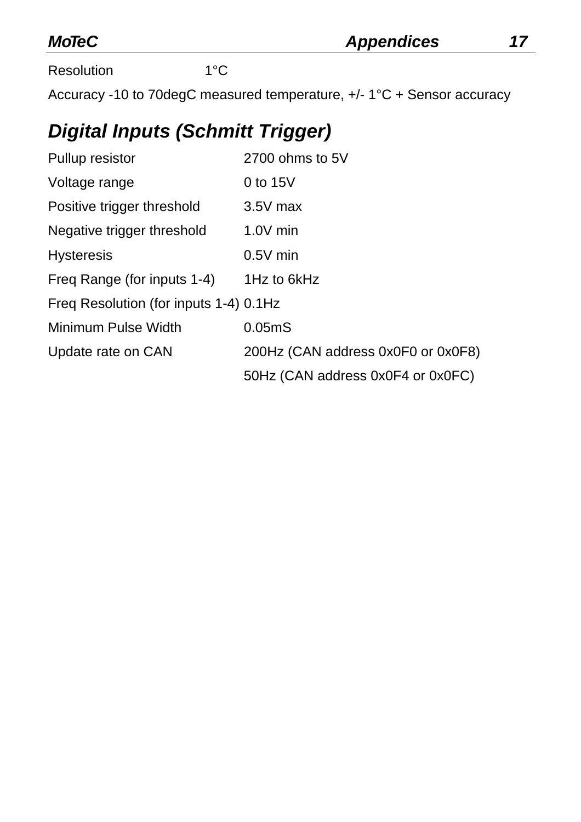| <b>MoTeC</b> |
|--------------|
|--------------|

Resolution 1°C

Accuracy -10 to 70degC measured temperature, +/- 1°C + Sensor accuracy

#### *Digital Inputs (Schmitt Trigger)*

| <b>Pullup resistor</b>                 | 2700 ohms to 5V                    |  |  |
|----------------------------------------|------------------------------------|--|--|
| Voltage range                          | 0 to 15V                           |  |  |
| Positive trigger threshold             | $3.5V$ max                         |  |  |
| Negative trigger threshold             | $1.0V$ min                         |  |  |
| <b>Hysteresis</b>                      | $0.5V$ min                         |  |  |
| Freg Range (for inputs 1-4)            | 1Hz to 6kHz                        |  |  |
| Freg Resolution (for inputs 1-4) 0.1Hz |                                    |  |  |
| <b>Minimum Pulse Width</b>             | 0.05 <sub>m</sub> S                |  |  |
| Update rate on CAN                     | 200Hz (CAN address 0x0F0 or 0x0F8) |  |  |
|                                        | 50Hz (CAN address 0x0F4 or 0x0FC)  |  |  |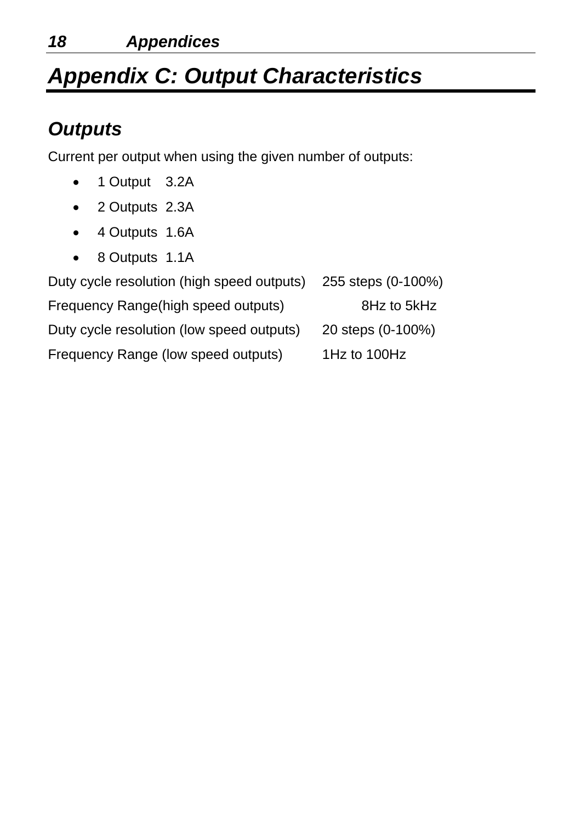## *Appendix C: Output Characteristics*

#### *Outputs*

Current per output when using the given number of outputs:

- 1 Output 3.2A
- 2 Outputs 2.3A
- 4 Outputs 1.6A
- 8 Outputs 1.1A

| Duty cycle resolution (high speed outputs) | 255 steps (0-100%) |
|--------------------------------------------|--------------------|
| Frequency Range(high speed outputs)        | 8Hz to 5kHz        |
| Duty cycle resolution (low speed outputs)  | 20 steps (0-100%)  |
| Frequency Range (low speed outputs)        | 1Hz to 100Hz       |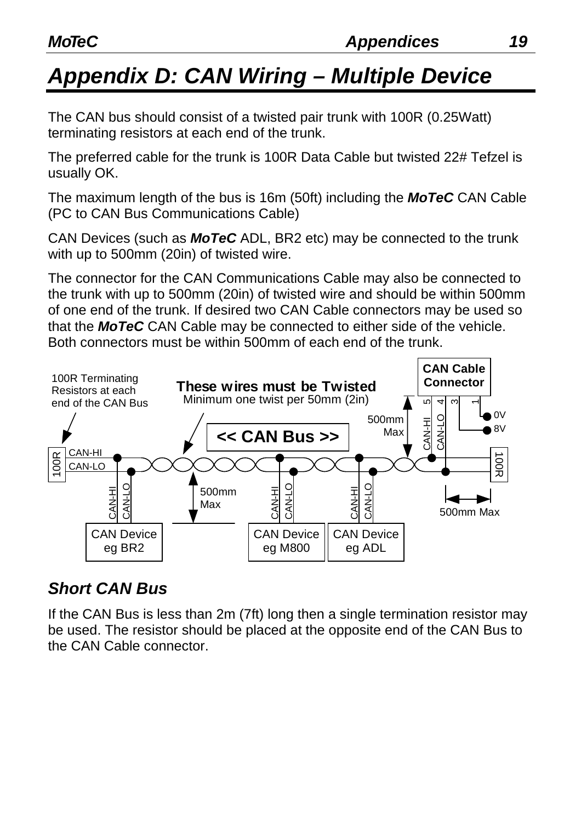## *Appendix D: CAN Wiring – Multiple Device*

The CAN bus should consist of a twisted pair trunk with 100R (0.25Watt) terminating resistors at each end of the trunk.

The preferred cable for the trunk is 100R Data Cable but twisted 22# Tefzel is usually OK.

The maximum length of the bus is 16m (50ft) including the *MoTeC* CAN Cable (PC to CAN Bus Communications Cable)

CAN Devices (such as *MoTeC* ADL, BR2 etc) may be connected to the trunk with up to 500mm (20in) of twisted wire.

The connector for the CAN Communications Cable may also be connected to the trunk with up to 500mm (20in) of twisted wire and should be within 500mm of one end of the trunk. If desired two CAN Cable connectors may be used so that the *MoTeC* CAN Cable may be connected to either side of the vehicle. Both connectors must be within 500mm of each end of the trunk.



#### *Short CAN Bus*

If the CAN Bus is less than 2m (7ft) long then a single termination resistor may be used. The resistor should be placed at the opposite end of the CAN Bus to the CAN Cable connector.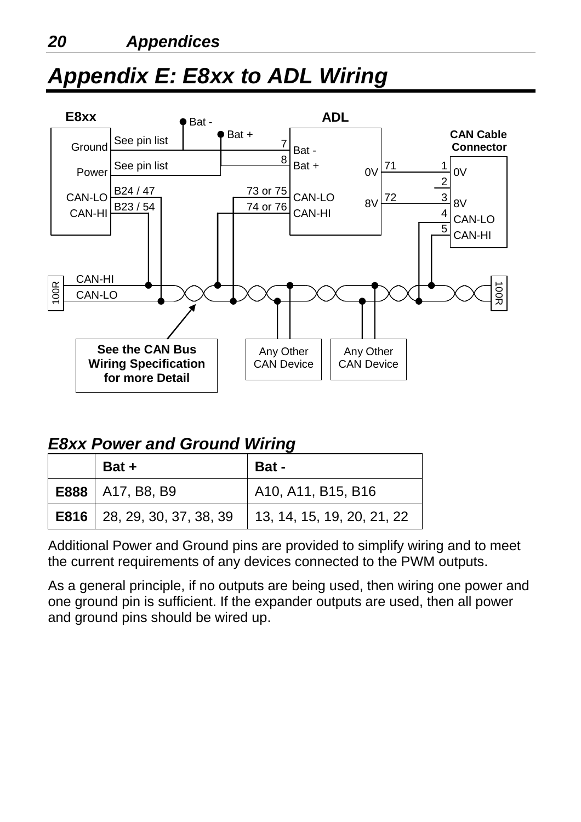## *Appendix E: E8xx to ADL Wiring*



#### *E8xx Power and Ground Wiring*

| Bat +                                | <b>Bat-</b>                        |  |
|--------------------------------------|------------------------------------|--|
| <b>E888</b>   A17, B8, B9            | A10, A11, B15, B16                 |  |
| <b>E816</b>   28, 29, 30, 37, 38, 39 | $\vert$ 13, 14, 15, 19, 20, 21, 22 |  |

Additional Power and Ground pins are provided to simplify wiring and to meet the current requirements of any devices connected to the PWM outputs.

As a general principle, if no outputs are being used, then wiring one power and one ground pin is sufficient. If the expander outputs are used, then all power and ground pins should be wired up.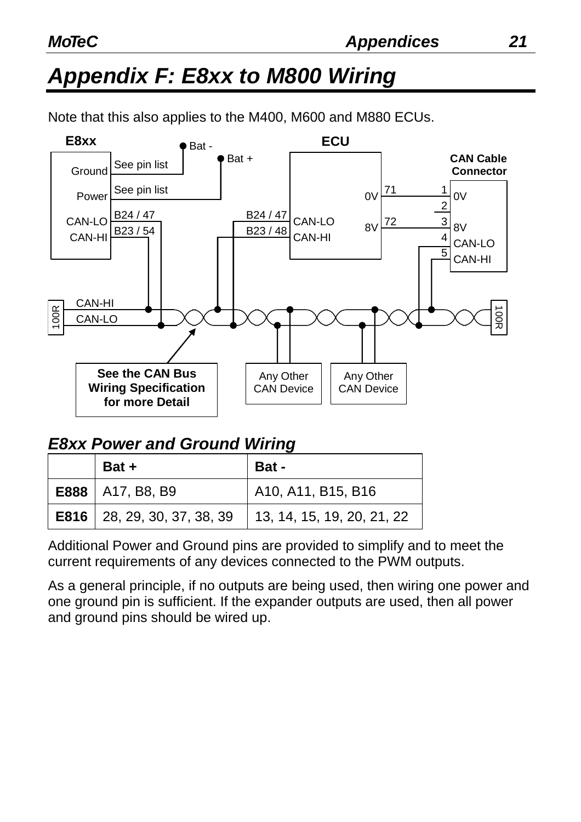## *Appendix F: E8xx to M800 Wiring*

Note that this also applies to the M400, M600 and M880 ECUs.



#### *E8xx Power and Ground Wiring*

| Bat +                                | <b>Bat-</b>                |
|--------------------------------------|----------------------------|
| <b>E888</b>   A17, B8, B9            | A10, A11, B15, B16         |
| <b>E816</b>   28, 29, 30, 37, 38, 39 | 13, 14, 15, 19, 20, 21, 22 |

Additional Power and Ground pins are provided to simplify and to meet the current requirements of any devices connected to the PWM outputs.

As a general principle, if no outputs are being used, then wiring one power and one ground pin is sufficient. If the expander outputs are used, then all power and ground pins should be wired up.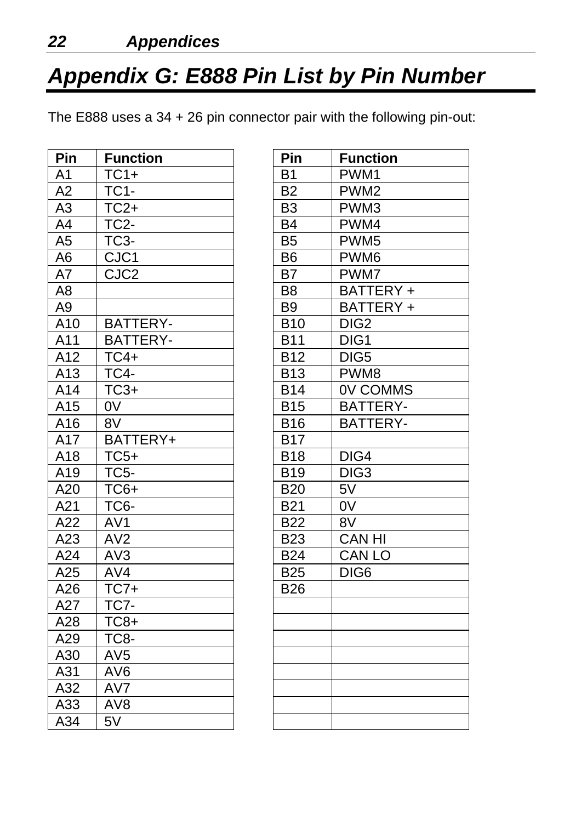## *Appendix G: E888 Pin List by Pin Number*

The E888 uses a 34 + 26 pin connector pair with the following pin-out:

| Pin            | <b>Function</b>   | Pin            | <b>Function</b>  |
|----------------|-------------------|----------------|------------------|
| A <sub>1</sub> | $TC1+$            | <b>B1</b>      | PWM1             |
| A2             | <b>TC1-</b>       | <b>B2</b>      | PWM <sub>2</sub> |
| A <sub>3</sub> | $TC2+$            | <b>B3</b>      | PWM3             |
| A4             | TC <sub>2</sub> - | <b>B4</b>      | PWM4             |
| A5             | TC <sub>3</sub> - | B <sub>5</sub> | PWM <sub>5</sub> |
| A6             | CJC1              | <b>B6</b>      | PWM6             |
| A7             | CJC <sub>2</sub>  | B7             | PWM7             |
| A <sub>8</sub> |                   | B <sub>8</sub> | BATTERY +        |
| A <sub>9</sub> |                   | <b>B9</b>      | BATTERY +        |
| A10            | <b>BATTERY-</b>   | <b>B10</b>     | DIG <sub>2</sub> |
| A11            | <b>BATTERY-</b>   | <b>B11</b>     | DIG1             |
| A12            | $TC4+$            | <b>B12</b>     | DIG <sub>5</sub> |
| A13            | <b>TC4-</b>       | <b>B13</b>     | PWM8             |
| A14            | $TC3+$            | <b>B14</b>     | <b>OV COMMS</b>  |
| A15            | 0 <sub>V</sub>    | <b>B15</b>     | BATTERY-         |
| A16            | 8V                | <b>B16</b>     | <b>BATTERY-</b>  |
| A17            | BATTERY+          | <b>B17</b>     |                  |
| A18            | $TC5+$            | <b>B18</b>     | DIG4             |
| A19            | <b>TC5-</b>       | <b>B19</b>     | DIG <sub>3</sub> |
| A20            | TC6+              | <b>B20</b>     | $5\overline{V}$  |
| A21            | TC6-              | <b>B21</b>     | 0 <sub>V</sub>   |
| A22            | AV <sub>1</sub>   | <b>B22</b>     | 8V               |
| A23            | AV2               | <b>B23</b>     | <b>CAN HI</b>    |
| A24            | AV3               | <b>B24</b>     | <b>CAN LO</b>    |
| A25            | AV4               | <b>B25</b>     | DIG <sub>6</sub> |
| A26            | $TC7+$            | <b>B26</b>     |                  |
| A27            | TC7-              |                |                  |
| A28            | $TC8+$            |                |                  |
| A29            | TC8-              |                |                  |
| A30            | AV <sub>5</sub>   |                |                  |
| A31            | AV <sub>6</sub>   |                |                  |
| A32            | AV7               |                |                  |
| A33            | AV <sub>8</sub>   |                |                  |
| A34            | 5V                |                |                  |

| Pin            | <b>Function</b>  |
|----------------|------------------|
| <b>B1</b>      | PWM1             |
| B2             | PWM <sub>2</sub> |
| B <sub>3</sub> | PWM3             |
| B4             | PWM4             |
| <b>B5</b>      | PWM <sub>5</sub> |
| <b>B6</b>      | PWM <sub>6</sub> |
| B7             | PWM7             |
| B8             | BATTERY +        |
| B9             | BATTERY +        |
| <b>B10</b>     | DIG <sub>2</sub> |
| <b>B11</b>     | DIG1             |
| <b>B12</b>     | DIG <sub>5</sub> |
| <b>B13</b>     | PWM8             |
| <b>B14</b>     | <b>OV COMMS</b>  |
| <b>B15</b>     | <b>BATTERY-</b>  |
| <b>B16</b>     | <b>BATTERY-</b>  |
| <b>B17</b>     |                  |
| <b>B18</b>     | DIG4             |
| <b>B19</b>     | DIG <sub>3</sub> |
| <b>B20</b>     | 5V               |
| B21            | 0V               |
| <b>B22</b>     | 8V               |
| <b>B23</b>     | <b>CAN HI</b>    |
| <b>B24</b>     | <b>CAN LO</b>    |
| <b>B25</b>     | DIG6             |
| г<br>B26       |                  |
|                |                  |
|                |                  |
|                |                  |
|                |                  |
|                |                  |
|                |                  |
|                |                  |
|                |                  |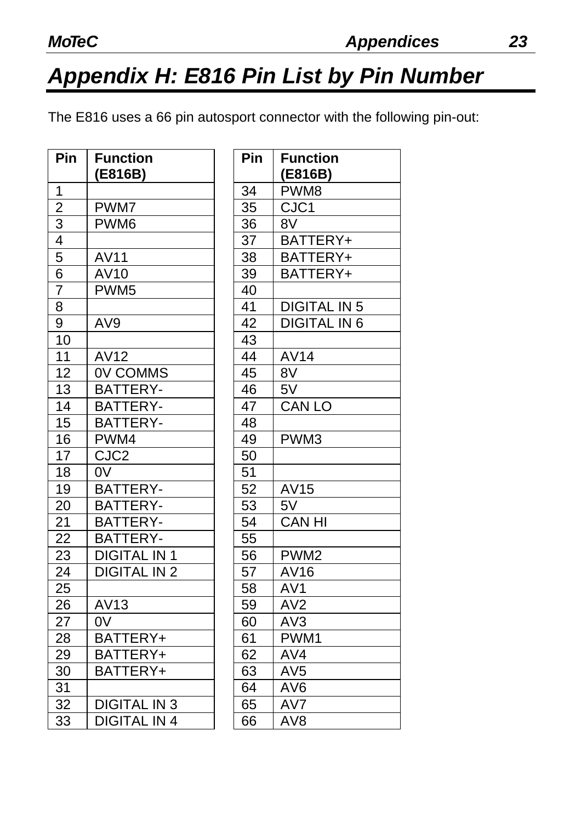## *Appendix H: E816 Pin List by Pin Number*

The E816 uses a 66 pin autosport connector with the following pin-out:

| Pin            | <b>Function</b>     | Pin | <b>Function</b>     |
|----------------|---------------------|-----|---------------------|
|                | (E816B)             |     | (E816B)             |
| 1              |                     | 34  | PWM8                |
| $\overline{2}$ | PWM7                | 35  | CJC1                |
| 3              | PWM <sub>6</sub>    | 36  | 8V                  |
| $\overline{4}$ |                     | 37  | BATTERY+            |
| 5              | <b>AV11</b>         | 38  | BATTERY+            |
| 6              | AV10                | 39  | BATTERY+            |
| $\overline{7}$ | PWM <sub>5</sub>    | 40  |                     |
| 8              |                     | 41  | <b>DIGITAL IN 5</b> |
| 9              | AV <sub>9</sub>     | 42  | <b>DIGITAL IN 6</b> |
| 10             |                     | 43  |                     |
| 11             | AV12                | 44  | <b>AV14</b>         |
| 12             | <b>OV COMMS</b>     | 45  | 8V                  |
| 13             | BATTERY-            | 46  | 5V                  |
| 14             | <b>BATTERY-</b>     | 47  | <b>CAN LO</b>       |
| 15             | <b>BATTERY-</b>     | 48  |                     |
| 16             | PWM4                | 49  | PWM3                |
| 17             | CJC <sub>2</sub>    | 50  |                     |
| 18             | 0V                  | 51  |                     |
| 19             | BATTERY-            | 52  | AV15                |
| 20             | <b>BATTERY-</b>     | 53  | 5V                  |
| 21             | BATTERY-            | 54  | <b>CAN HI</b>       |
| 22             | <b>BATTERY-</b>     | 55  |                     |
| 23             | <b>DIGITAL IN 1</b> | 56  | PWM <sub>2</sub>    |
| 24             | <b>DIGITAL IN 2</b> | 57  | AV16                |
| 25             |                     | 58  | AV1                 |
| 26             | AV13                | 59  | AV <sub>2</sub>     |
| 27             | 0 <sub>V</sub>      | 60  | AV3                 |
| 28             | BATTERY+            | 61  | PWM1                |
| 29             | BATTERY+            | 62  | AV4                 |
| 30             | BATTERY+            | 63  | AV <sub>5</sub>     |
| 31             |                     | 64  | AV <sub>6</sub>     |
| 32             | <b>DIGITAL IN 3</b> | 65  | AV7                 |
| 33             | <b>DIGITAL IN 4</b> | 66  | AV <sub>8</sub>     |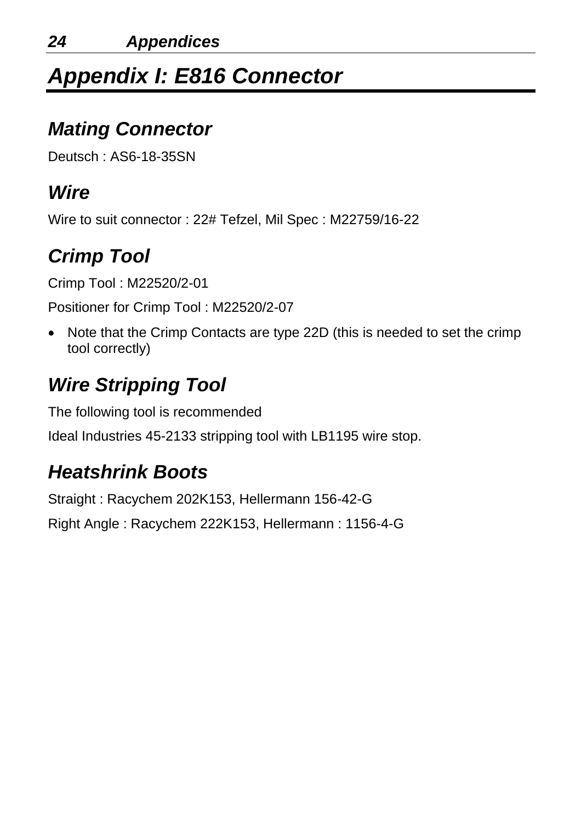## *Appendix I: E816 Connector*

#### *Mating Connector*

Deutsch : AS6-18-35SN

#### *Wire*

Wire to suit connector : 22# Tefzel, Mil Spec : M22759/16-22

## *Crimp Tool*

Crimp Tool : M22520/2-01

Positioner for Crimp Tool : M22520/2-07

• Note that the Crimp Contacts are type 22D (this is needed to set the crimp tool correctly)

## *Wire Stripping Tool*

The following tool is recommended Ideal Industries 45-2133 stripping tool with LB1195 wire stop.

## *Heatshrink Boots*

Straight : Racychem 202K153, Hellermann 156-42-G Right Angle : Racychem 222K153, Hellermann : 1156-4-G